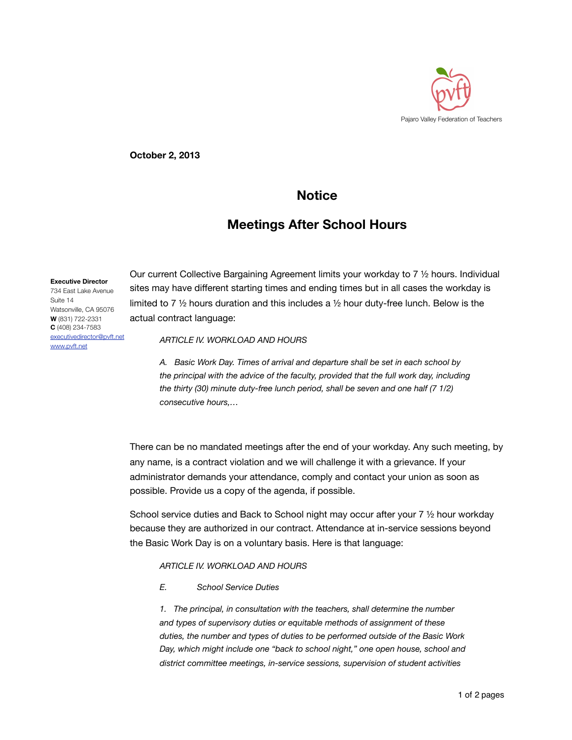

**October 2, 2013**

## **Notice**

# **Meetings After School Hours**

#### **Executive Director**

734 East Lake Avenue Suite 14 Watsonville, CA 95076 **W** (831) 722-2331 **C** (408) 234-7583 [executivedirector@pvft.net](mailto:executivedirector@pvft.net) [www.pvft.net](http://www.pvft.net)

Our current Collective Bargaining Agreement limits your workday to 7 ½ hours. Individual sites may have different starting times and ending times but in all cases the workday is limited to 7 ½ hours duration and this includes a ½ hour duty-free lunch. Below is the actual contract language:

### *ARTICLE IV. WORKLOAD AND HOURS*

*A. Basic Work Day. Times of arrival and departure shall be set in each school by the principal with the advice of the faculty, provided that the full work day, including the thirty (30) minute duty-free lunch period, shall be seven and one half (7 1/2) consecutive hours,…*

There can be no mandated meetings after the end of your workday. Any such meeting, by any name, is a contract violation and we will challenge it with a grievance. If your administrator demands your attendance, comply and contact your union as soon as possible. Provide us a copy of the agenda, if possible.

School service duties and Back to School night may occur after your  $7 \frac{1}{2}$  hour workday because they are authorized in our contract. Attendance at in-service sessions beyond the Basic Work Day is on a voluntary basis. Here is that language:

## *ARTICLE IV. WORKLOAD AND HOURS*

*E. School Service Duties*

*1. The principal, in consultation with the teachers, shall determine the number and types of supervisory duties or equitable methods of assignment of these duties, the number and types of duties to be performed outside of the Basic Work Day, which might include one "back to school night," one open house, school and district committee meetings, in-service sessions, supervision of student activities*